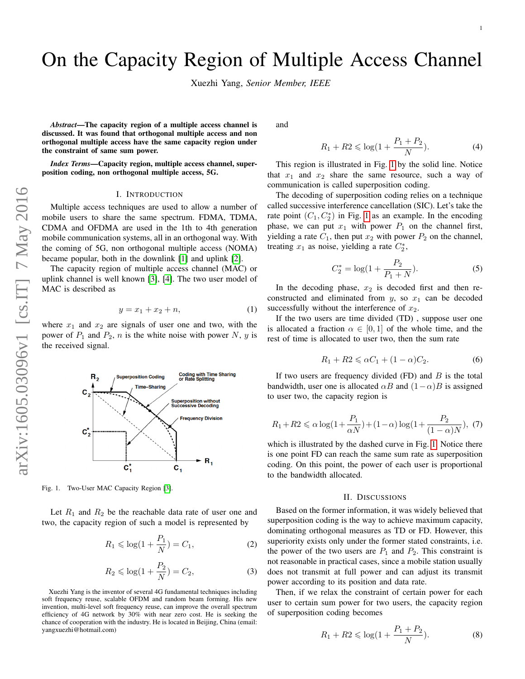# On the Capacity Region of Multiple Access Channel

Xuezhi Yang, *Senior Member, IEEE*

*Abstract*—The capacity region of a multiple access channel is discussed. It was found that orthogonal multiple access and non orthogonal multiple access have the same capacity region under the constraint of same sum power.

*Index Terms*—Capacity region, multiple access channel, superposition coding, non orthogonal multiple access, 5G.

#### I. INTRODUCTION

Multiple access techniques are used to allow a number of mobile users to share the same spectrum. FDMA, TDMA, CDMA and OFDMA are used in the 1th to 4th generation mobile communication systems, all in an orthogonal way. With the coming of 5G, non orthogonal multiple access (NOMA) became popular, both in the downlink [\[1\]](#page-1-0) and uplink [\[2\]](#page-1-1).

The capacity region of multiple access channel (MAC) or uplink channel is well known [\[3\]](#page-1-2), [\[4\]](#page-1-3). The two user model of MAC is described as

$$
y = x_1 + x_2 + n,\t\t(1)
$$

where  $x_1$  and  $x_2$  are signals of user one and two, with the power of  $P_1$  and  $P_2$ , n is the white noise with power N, y is the received signal.



<span id="page-0-0"></span>Fig. 1. Two-User MAC Capacity Region [\[3\]](#page-1-2).

Let  $R_1$  and  $R_2$  be the reachable data rate of user one and two, the capacity region of such a model is represented by

$$
R_1 \le \log(1 + \frac{P_1}{N}) = C_1,
$$
 (2)

$$
R_2 \le \log(1 + \frac{P_2}{N}) = C_2,
$$
 (3)

Xuezhi Yang is the inventor of several 4G fundamental techniques including soft frequency reuse, scalable OFDM and random beam forming. His new invention, multi-level soft frequency reuse, can improve the overall spectrum efficiency of 4G network by 30% with near zero cost. He is seeking the chance of cooperation with the industry. He is located in Beijing, China (email: yangxuezhi@hotmail.com)

and

$$
R_1 + R_2 \le \log(1 + \frac{P_1 + P_2}{N}).
$$
 (4)

This region is illustrated in Fig. [1](#page-0-0) by the solid line. Notice that  $x_1$  and  $x_2$  share the same resource, such a way of communication is called superposition coding.

The decoding of superposition coding relies on a technique called successive interference cancellation (SIC). Let's take the rate point  $(C_1, C_2^*)$  in Fig. [1](#page-0-0) as an example. In the encoding phase, we can put  $x_1$  with power  $P_1$  on the channel first, yielding a rate  $C_1$ , then put  $x_2$  with power  $P_2$  on the channel, treating  $x_1$  as noise, yielding a rate  $C_2^*$ ,

$$
C_2^* = \log(1 + \frac{P_2}{P_1 + N}).
$$
\n(5)

In the decoding phase,  $x_2$  is decoded first and then reconstructed and eliminated from  $y$ , so  $x_1$  can be decoded successfully without the interference of  $x_2$ .

If the two users are time divided (TD) , suppose user one is allocated a fraction  $\alpha \in [0,1]$  of the whole time, and the rest of time is allocated to user two, then the sum rate

$$
R_1 + R_2 \leqslant \alpha C_1 + (1 - \alpha) C_2. \tag{6}
$$

If two users are frequency divided  $(FD)$  and  $B$  is the total bandwidth, user one is allocated  $\alpha B$  and  $(1-\alpha)B$  is assigned to user two, the capacity region is

$$
R_1 + R_2 \le \alpha \log(1 + \frac{P_1}{\alpha N}) + (1 - \alpha) \log(1 + \frac{P_2}{(1 - \alpha)N}), (7)
$$

which is illustrated by the dashed curve in Fig. [1.](#page-0-0) Notice there is one point FD can reach the same sum rate as superposition coding. On this point, the power of each user is proportional to the bandwidth allocated.

### II. DISCUSSIONS

Based on the former information, it was widely believed that superposition coding is the way to achieve maximum capacity, dominating orthogonal measures as TD or FD. However, this superiority exists only under the former stated constraints, i.e. the power of the two users are  $P_1$  and  $P_2$ . This constraint is not reasonable in practical cases, since a mobile station usually does not transmit at full power and can adjust its transmit power according to its position and data rate.

Then, if we relax the constraint of certain power for each user to certain sum power for two users, the capacity region of superposition coding becomes

$$
R_1 + R2 \le \log(1 + \frac{P_1 + P_2}{N}).
$$
 (8)